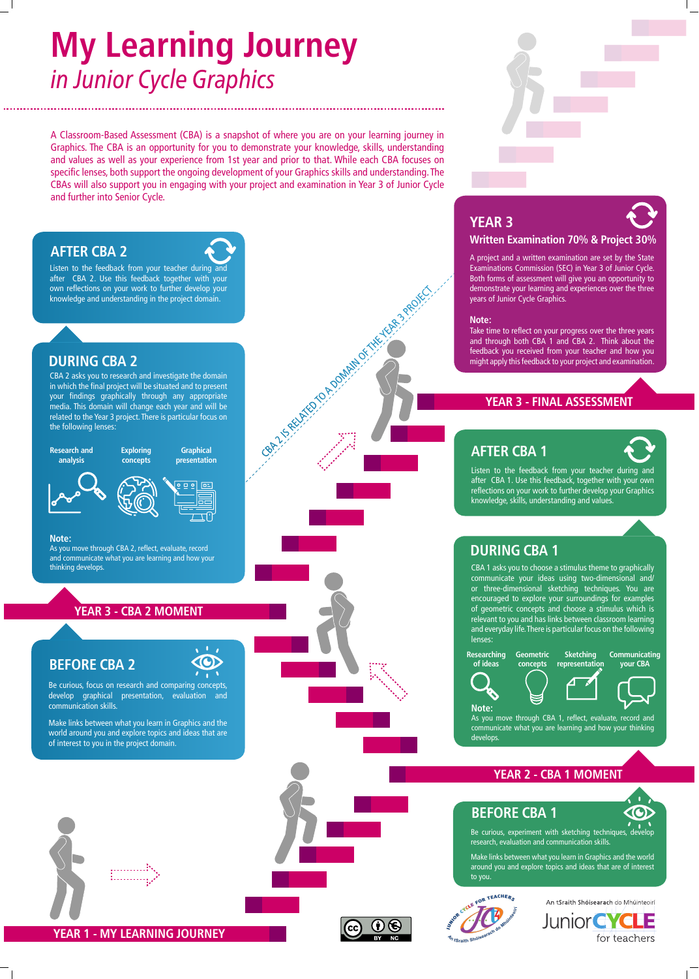Listen to the feedback from your teacher during and after CBA 2. Use this feedback together with your own reflections on your work to further develop your knowledge and understanding in the project domain.

#### **AFTER CBA 2**



#### **DURING CBA 2**

CBA 2 asks you to research and investigate the domain in which the final project will be situated and to present your findings graphically through any appropriate media. This domain will change each year and will be related to the Year 3 project. There is particular focus on the following lenses:

#### **Note:**

As you move through CBA 2, reflect, evaluate, record and communicate what you are learning and how your thinking develops.

#### YEAR 3 - CBA 2 MOMENT

Be curious, focus on research and comparing concepts, develop graphical presentation, evaluation and communication skills.

Make links between what you learn in Graphics and the world around you and explore topics and ideas that are of interest to you in the project domain.



**YEAR 1 - MY LEARNING JOURNEY**



#### **YEAR 2 - CBA 1 MOMENT**

#### **YEAR 3 - FINAL ASSESSMENT**

### **YEAR 3**



#### **Written Examination 70% & Project 30%**

A project and a written examination are set by the State Examinations Commission (SEC) in Year 3 of Junior Cycle. Both forms of assessment will give you an opportunity to demonstrate your learning and experiences over the three years of Junior Cycle Graphics.

#### **Note:**

Take time to reflect on your progress over the three years and through both CBA 1 and CBA 2. Think about the feedback you received from your teacher and how you might apply this feedback to your project and examination.





### **DURING CBA 1**

CBA 1 asks you to choose a stimulus theme to graphically communicate your ideas using two-dimensional and/ or three-dimensional sketching techniques. You are encouraged to explore your surroundings for examples of geometric concepts and choose a stimulus which is relevant to you and has links between classroom learning and everyday life. There is particular focus on the following lenses:

**Researching of ideas**

**Geometric concepts Sketching representation**

**Communicating your CBA**







**Note:**

As you move through CBA 1, reflect, evaluate, record and communicate what you are learning and how your thinking develops.

#### **BEFORE CBA 1**

Be curious, experiment with sketching techniques, develop research, evaluation and communication skills.

Make links between what you learn in Graphics and the world around you and explore topics and ideas that are of interest to you.



An tSraith Shóisearach do Mhúinteoirí **Junior CYCLE** for teachers

#### **BEFORE CBA 2**



### **AFTER CBA 1**



Listen to the feedback from your teacher during and after CBA 1. Use this feedback, together with your own reflections on your work to further develop your Graphics knowledge, skills, understanding and values.



# **My Learning Journey**  *in Junior Cycle Graphics*

A Classroom-Based Assessment (CBA) is a snapshot of where you are on your learning journey in Graphics. The CBA is an opportunity for you to demonstrate your knowledge, skills, understanding and values as well as your experience from 1st year and prior to that. While each CBA focuses on specific lenses, both support the ongoing development of your Graphics skills and understanding. The CBAs will also support you in engaging with your project and examination in Year 3 of Junior Cycle and further into Senior Cycle.

CBA 2 PRELATED TO A DOMAIN OF THE YEAR 3 PROJECT